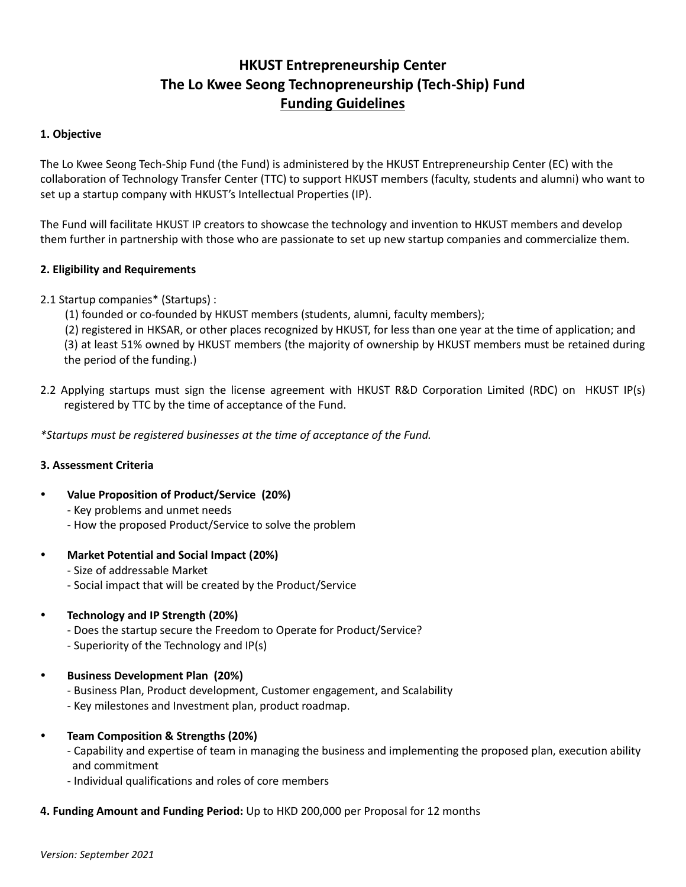# **HKUST Entrepreneurship Center The Lo Kwee Seong Technopreneurship (Tech-Ship) Fund Funding Guidelines**

#### **1. Objective**

The Lo Kwee Seong Tech-Ship Fund (the Fund) is administered by the HKUST Entrepreneurship Center (EC) with the collaboration of Technology Transfer Center (TTC) to support HKUST members (faculty, students and alumni) who want to set up a startup company with HKUST's Intellectual Properties (IP).

The Fund will facilitate HKUST IP creators to showcase the technology and invention to HKUST members and develop them further in partnership with those who are passionate to set up new startup companies and commercialize them.

#### **2. Eligibility and Requirements**

- 2.1 Startup companies\* (Startups) :
	- (1) founded or co-founded by HKUST members (students, alumni, faculty members);

(2) registered in HKSAR, or other places recognized by HKUST, for less than one year at the time of application; and

(3) at least 51% owned by HKUST members (the majority of ownership by HKUST members must be retained during the period of the funding.)

2.2 Applying startups must sign the license agreement with HKUST R&D Corporation Limited (RDC) on HKUST IP(s) registered by TTC by the time of acceptance of the Fund.

*\*Startups must be registered businesses at the time of acceptance of the Fund.*

## **3. Assessment Criteria**

- **Value Proposition of Product/Service (20%)**
	- Key problems and unmet needs
	- How the proposed Product/Service to solve the problem
- **Market Potential and Social Impact (20%)**

- Size of addressable Market

- Social impact that will be created by the Product/Service
- **Technology and IP Strength (20%)**
	- Does the startup secure the Freedom to Operate for Product/Service?
	- Superiority of the Technology and IP(s)
- **Business Development Plan (20%)**
	- Business Plan, Product development, Customer engagement, and Scalability
	- Key milestones and Investment plan, product roadmap.
- **Team Composition & Strengths (20%)**
	- Capability and expertise of team in managing the business and implementing the proposed plan, execution ability and commitment
	- Individual qualifications and roles of core members

## **4. Funding Amount and Funding Period:** Up to HKD 200,000 per Proposal for 12 months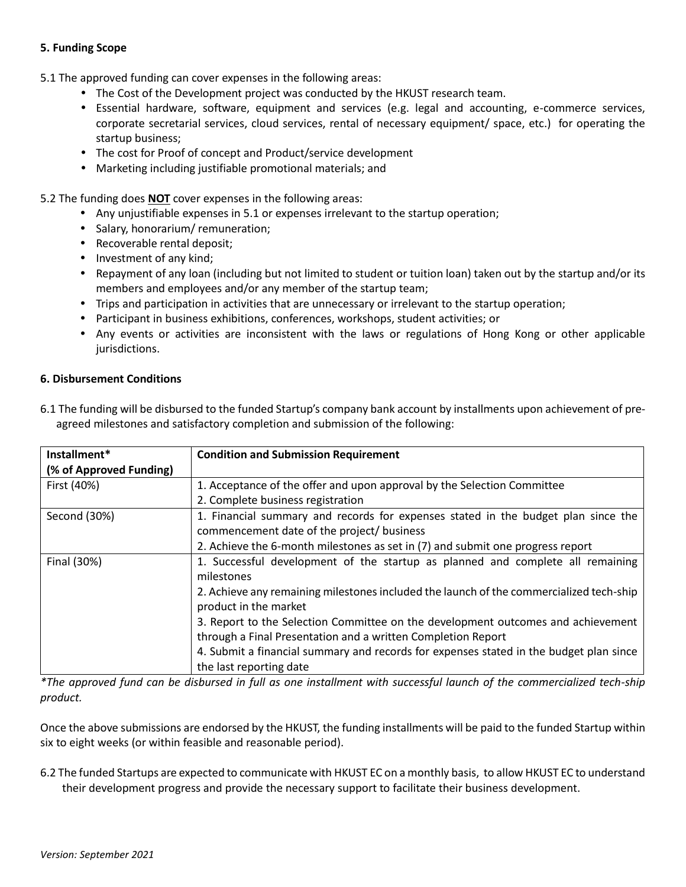## **5. Funding Scope**

5.1 The approved funding can cover expenses in the following areas:

- The Cost of the Development project was conducted by the HKUST research team.
- Essential hardware, software, equipment and services (e.g. legal and accounting, e-commerce services, corporate secretarial services, cloud services, rental of necessary equipment/ space, etc.) for operating the startup business;
- The cost for Proof of concept and Product/service development
- Marketing including justifiable promotional materials; and

5.2 The funding does **NOT** cover expenses in the following areas:

- Any unjustifiable expenses in 5.1 or expenses irrelevant to the startup operation;
- Salary, honorarium/ remuneration;
- Recoverable rental deposit;
- Investment of any kind;
- Repayment of any loan (including but not limited to student or tuition loan) taken out by the startup and/or its members and employees and/or any member of the startup team;
- Trips and participation in activities that are unnecessary or irrelevant to the startup operation;
- Participant in business exhibitions, conferences, workshops, student activities; or
- Any events or activities are inconsistent with the laws or regulations of Hong Kong or other applicable jurisdictions.

## **6. Disbursement Conditions**

| Installment*            | <b>Condition and Submission Requirement</b>                                                                      |
|-------------------------|------------------------------------------------------------------------------------------------------------------|
| (% of Approved Funding) |                                                                                                                  |
| First (40%)             | 1. Acceptance of the offer and upon approval by the Selection Committee                                          |
|                         | 2. Complete business registration                                                                                |
| Second (30%)            | 1. Financial summary and records for expenses stated in the budget plan since the                                |
|                         | commencement date of the project/ business                                                                       |
|                         | 2. Achieve the 6-month milestones as set in (7) and submit one progress report                                   |
| Final (30%)             | 1. Successful development of the startup as planned and complete all remaining                                   |
|                         | milestones                                                                                                       |
|                         | 2. Achieve any remaining milestones included the launch of the commercialized tech-ship<br>product in the market |
|                         | 3. Report to the Selection Committee on the development outcomes and achievement                                 |
|                         | through a Final Presentation and a written Completion Report                                                     |
|                         | 4. Submit a financial summary and records for expenses stated in the budget plan since                           |
|                         | the last reporting date                                                                                          |

6.1 The funding will be disbursed to the funded Startup's company bank account by installments upon achievement of preagreed milestones and satisfactory completion and submission of the following:

*\*The approved fund can be disbursed in full as one installment with successful launch of the commercialized tech-ship product.*

Once the above submissions are endorsed by the HKUST, the funding installments will be paid to the funded Startup within six to eight weeks (or within feasible and reasonable period).

6.2 The funded Startups are expected to communicate with HKUST EC on a monthly basis, to allow HKUST EC to understand their development progress and provide the necessary support to facilitate their business development.